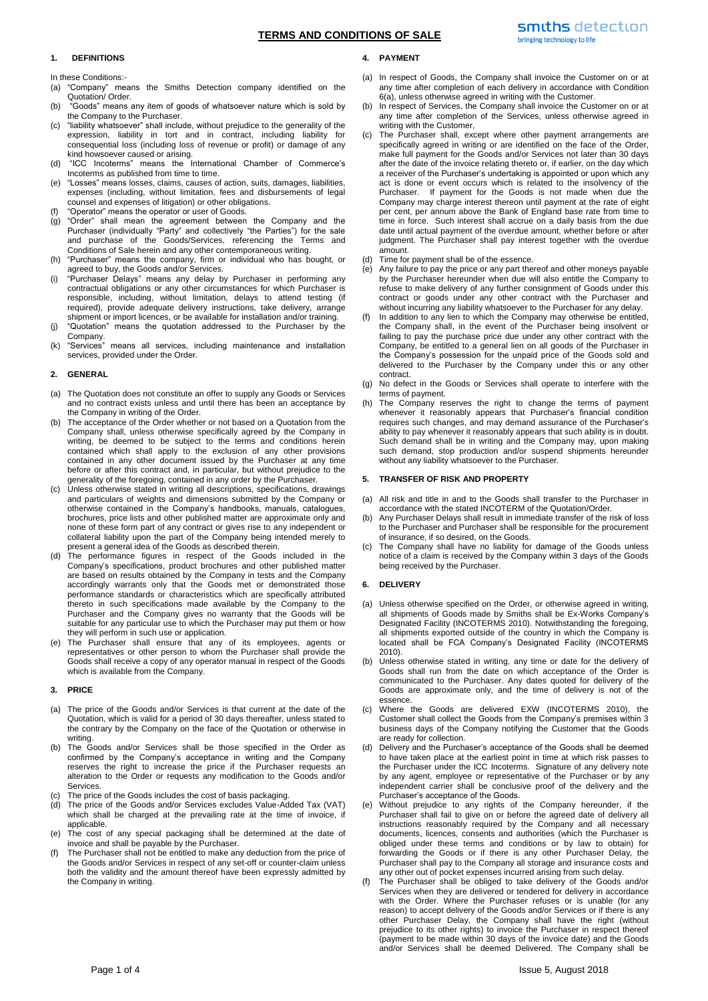# **TERMS AND CONDITIONS OF SALE**

#### **1. DEFINITIONS**

In these Conditions:-

- (a) "Company" means the Smiths Detection company identified on the Quotation/ Order.
- (b) "Goods" means any item of goods of whatsoever nature which is sold by the Company to the Purchaser.
- (c) "liability whatsoever" shall include, without prejudice to the generality of the expression, liability in tort and in contract, including liability for consequential loss (including loss of revenue or profit) or damage of any kind howsoever caused or arising.
- (d) "ICC Incoterms" means the International Chamber of Commerce's Incoterms as published from time to time.
- (e) "Losses" means losses, claims, causes of action, suits, damages, liabilities, expenses (including, without limitation, fees and disbursements of legal counsel and expenses of litigation) or other obligations.
- (f) "Operator" means the operator or user of Goods.
- (g) "Order" shall mean the agreement between the Company and the Purchaser (individually "Party" and collectively "the Parties") for the sale and purchase of the Goods/Services, referencing the Terms and Conditions of Sale herein and any other contemporaneous writing.
- (h) "Purchaser" means the company, firm or individual who has bought, or agreed to buy, the Goods and/or Services.
- (i) "Purchaser Delays" means any delay by Purchaser in performing any contractual obligations or any other circumstances for which Purchaser is responsible, including, without limitation, delays to attend testing (if required), provide adequate delivery instructions, take delivery, arrange shipment or import licences, or be available for installation and/or training.
- (j) "Quotation" means the quotation addressed to the Purchaser by the Company.
- (k) "Services" means all services, including maintenance and installation services, provided under the Order.

## **2. GENERAL**

- (a) The Quotation does not constitute an offer to supply any Goods or Services and no contract exists unless and until there has been an acceptance by the Company in writing of the Order.
- (b) The acceptance of the Order whether or not based on a Quotation from the Company shall, unless otherwise specifically agreed by the Company in writing, be deemed to be subject to the terms and conditions herein contained which shall apply to the exclusion of any other provisions contained in any other document issued by the Purchaser at any time before or after this contract and, in particular, but without prejudice to the generality of the foregoing, contained in any order by the Purchaser.
- Unless otherwise stated in writing all descriptions, specifications, drawings and particulars of weights and dimensions submitted by the Company or otherwise contained in the Company's handbooks, manuals, catalogues, brochures, price lists and other published matter are approximate only and none of these form part of any contract or gives rise to any independent or collateral liability upon the part of the Company being intended merely to present a general idea of the Goods as described therein.
- (d) The performance figures in respect of the Goods included in the Company's specifications, product brochures and other published matter are based on results obtained by the Company in tests and the Company accordingly warrants only that the Goods met or demonstrated those performance standards or characteristics which are specifically attributed thereto in such specifications made available by the Company to the Purchaser and the Company gives no warranty that the Goods will be suitable for any particular use to which the Purchaser may put them or how they will perform in such use or application.
- (e) The Purchaser shall ensure that any of its employees, agents or representatives or other person to whom the Purchaser shall provide the Goods shall receive a copy of any operator manual in respect of the Goods which is available from the Company.

#### **3. PRICE**

- (a) The price of the Goods and/or Services is that current at the date of the Quotation, which is valid for a period of 30 days thereafter, unless stated to the contrary by the Company on the face of the Quotation or otherwise in writing.
- (b) The Goods and/or Services shall be those specified in the Order as confirmed by the Company's acceptance in writing and the Company reserves the right to increase the price if the Purchaser requests an alteration to the Order or requests any modification to the Goods and/or Services.
- The price of the Goods includes the cost of basis packaging.
- (d) The price of the Goods and/or Services excludes Value-Added Tax (VAT) which shall be charged at the prevailing rate at the time of invoice, if applicable.
- (e) The cost of any special packaging shall be determined at the date of invoice and shall be payable by the Purchaser.
- (f) The Purchaser shall not be entitled to make any deduction from the price of the Goods and/or Services in respect of any set-off or counter-claim unless both the validity and the amount thereof have been expressly admitted by the Company in writing.

# **4. PAYMENT**

- (a) In respect of Goods, the Company shall invoice the Customer on or at any time after completion of each delivery in accordance with Condition [6\(a\),](#page-0-0) unless otherwise agreed in writing with the Customer.
- (b) In respect of Services, the Company shall invoice the Customer on or at any time after completion of the Services, unless otherwise agreed in writing with the Customer,
- (c) The Purchaser shall, except where other payment arrangements are specifically agreed in writing or are identified on the face of the Order, make full payment for the Goods and/or Services not later than 30 days after the date of the invoice relating thereto or, if earlier, on the day which a receiver of the Purchaser's undertaking is appointed or upon which any act is done or event occurs which is related to the insolvency of the Purchaser. If payment for the Goods is not made when due the Company may charge interest thereon until payment at the rate of eight per cent, per annum above the Bank of England base rate from time to time in force. Such interest shall accrue on a daily basis from the due date until actual payment of the overdue amount, whether before or after judgment. The Purchaser shall pay interest together with the overdue amount.
- Time for payment shall be of the essence.
- (e) Any failure to pay the price or any part thereof and other moneys payable by the Purchaser hereunder when due will also entitle the Company to refuse to make delivery of any further consignment of Goods under this contract or goods under any other contract with the Purchaser and without incurring any liability whatsoever to the Purchaser for any delay.
- (f) In addition to any lien to which the Company may otherwise be entitled, the Company shall, in the event of the Purchaser being insolvent or failing to pay the purchase price due under any other contract with the Company, be entitled to a general lien on all goods of the Purchaser in the Company's possession for the unpaid price of the Goods sold and delivered to the Purchaser by the Company under this or any other contract.
- (g) No defect in the Goods or Services shall operate to interfere with the terms of payment.
- (h) The Company reserves the right to change the terms of payment whenever it reasonably appears that Purchaser's financial condition requires such changes, and may demand assurance of the Purchaser's ability to pay whenever it reasonably appears that such ability is in doubt. Such demand shall be in writing and the Company may, upon making such demand, stop production and/or suspend shipments hereunder without any liability whatsoever to the Purchaser.

#### **5. TRANSFER OF RISK AND PROPERTY**

- (a) All risk and title in and to the Goods shall transfer to the Purchaser in accordance with the stated INCOTERM of the Quotation/Order.
- (b) Any Purchaser Delays shall result in immediate transfer of the risk of loss to the Purchaser and Purchaser shall be responsible for the procurement of insurance, if so desired, on the Goods.
- (c) The Company shall have no liability for damage of the Goods unless notice of a claim is received by the Company within 3 days of the Goods being received by the Purchaser.

## **6. DELIVERY**

- <span id="page-0-0"></span>(a) Unless otherwise specified on the Order, or otherwise agreed in writing, all shipments of Goods made by Smiths shall be Ex-Works Company's Designated Facility (INCOTERMS 2010). Notwithstanding the foregoing, all shipments exported outside of the country in which the Company is located shall be FCA Company's Designated Facility (INCOTERMS 2010).
- (b) Unless otherwise stated in writing, any time or date for the delivery of Goods shall run from the date on which acceptance of the Order is communicated to the Purchaser. Any dates quoted for delivery of the Goods are approximate only, and the time of delivery is not of the essence.
- (c) Where the Goods are delivered EXW (INCOTERMS 2010), the Customer shall collect the Goods from the Company's premises within 3 business days of the Company notifying the Customer that the Goods are ready for collection.
- (d) Delivery and the Purchaser's acceptance of the Goods shall be deemed to have taken place at the earliest point in time at which risk passes to the Purchaser under the ICC Incoterms. Signature of any delivery note by any agent, employee or representative of the Purchaser or by any independent carrier shall be conclusive proof of the delivery and the Purchaser's acceptance of the Goods.
- (e) Without prejudice to any rights of the Company hereunder, if the Purchaser shall fail to give on or before the agreed date of delivery all instructions reasonably required by the Company and all necessary documents, licences, consents and authorities (which the Purchaser is obliged under these terms and conditions or by law to obtain) for forwarding the Goods or if there is any other Purchaser Delay, the Purchaser shall pay to the Company all storage and insurance costs and any other out of pocket expenses incurred arising from such delay.
- (f) The Purchaser shall be obliged to take delivery of the Goods and/or Services when they are delivered or tendered for delivery in accordance with the Order. Where the Purchaser refuses or is unable (for any reason) to accept delivery of the Goods and/or Services or if there is any other Purchaser Delay, the Company shall have the right (without prejudice to its other rights) to invoice the Purchaser in respect thereof (payment to be made within 30 days of the invoice date) and the Goods and/or Services shall be deemed Delivered. The Company shall be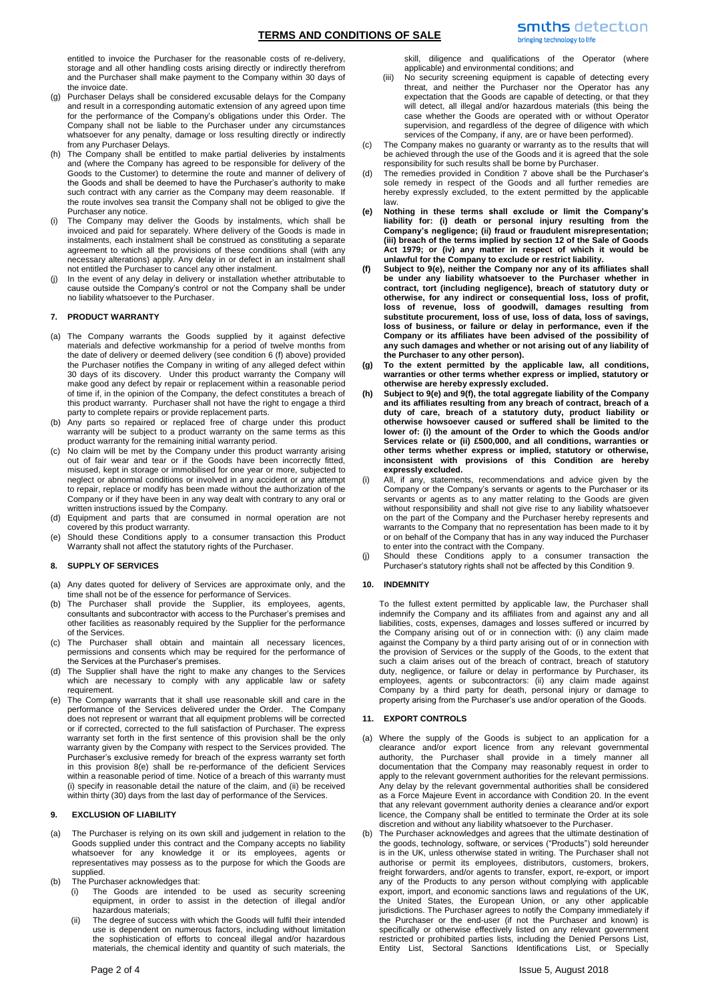entitled to invoice the Purchaser for the reasonable costs of re-delivery, storage and all other handling costs arising directly or indirectly therefrom and the Purchaser shall make payment to the Company within 30 days of the invoice date.

- (g) Purchaser Delays shall be considered excusable delays for the Company and result in a corresponding automatic extension of any agreed upon time for the performance of the Company's obligations under this Order. The Company shall not be liable to the Purchaser under any circumstances whatsoever for any penalty, damage or loss resulting directly or indirectly from any Purchaser Delays.
- The Company shall be entitled to make partial deliveries by instalments and (where the Company has agreed to be responsible for delivery of the Goods to the Customer) to determine the route and manner of delivery of the Goods and shall be deemed to have the Purchaser's authority to make such contract with any carrier as the Company may deem reasonable. If the route involves sea transit the Company shall not be obliged to give the Purchaser any notice.
- (i) The Company may deliver the Goods by instalments, which shall be invoiced and paid for separately. Where delivery of the Goods is made in instalments, each instalment shall be construed as constituting a separate agreement to which all the provisions of these conditions shall (with any necessary alterations) apply. Any delay in or defect in an instalment shall not entitled the Purchaser to cancel any other instalment.
- In the event of any delay in delivery or installation whether attributable to cause outside the Company's control or not the Company shall be under no liability whatsoever to the Purchaser.

# **7. PRODUCT WARRANTY**

- (a) The Company warrants the Goods supplied by it against defective materials and defective workmanship for a period of twelve months from the date of delivery or deemed delivery (see condition 6 (f) above) provided the Purchaser notifies the Company in writing of any alleged defect within 30 days of its discovery. Under this product warranty the Company will make good any defect by repair or replacement within a reasonable period of time if, in the opinion of the Company, the defect constitutes a breach of this product warranty. Purchaser shall not have the right to engage a third party to complete repairs or provide replacement parts.
- (b) Any parts so repaired or replaced free of charge under this product warranty will be subject to a product warranty on the same terms as this product warranty for the remaining initial warranty period.
- (c) No claim will be met by the Company under this product warranty arising out of fair wear and tear or if the Goods have been incorrectly fitted, misused, kept in storage or immobilised for one year or more, subjected to neglect or abnormal conditions or involved in any accident or any attempt to repair, replace or modify has been made without the authorization of the Company or if they have been in any way dealt with contrary to any oral or written instructions issued by the Company.
- (d) Equipment and parts that are consumed in normal operation are not covered by this product warranty.
- (e) Should these Conditions apply to a consumer transaction this Product Warranty shall not affect the statutory rights of the Purchaser.

## **8. SUPPLY OF SERVICES**

- (a) Any dates quoted for delivery of Services are approximate only, and the time shall not be of the essence for performance of Services.
- (b) The Purchaser shall provide the Supplier, its employees, agents, consultants and subcontractor with access to the Purchaser's premises and other facilities as reasonably required by the Supplier for the performance of the Services.
- (c) The Purchaser shall obtain and maintain all necessary licences, permissions and consents which may be required for the performance of the Services at the Purchaser's premises.
- (d) The Supplier shall have the right to make any changes to the Services which are necessary to comply with any applicable law or safety requirement.
- (e) The Company warrants that it shall use reasonable skill and care in the performance of the Services delivered under the Order. The Company does not represent or warrant that all equipment problems will be corrected or if corrected, corrected to the full satisfaction of Purchaser. The express warranty set forth in the first sentence of this provision shall be the only warranty given by the Company with respect to the Services provided. The Purchaser's exclusive remedy for breach of the express warranty set forth in this provision 8(e) shall be re-performance of the deficient Services within a reasonable period of time. Notice of a breach of this warranty must (i) specify in reasonable detail the nature of the claim, and (ii) be received within thirty (30) days from the last day of performance of the Services.

## **9. EXCLUSION OF LIABILITY**

- (a) The Purchaser is relying on its own skill and judgement in relation to the Goods supplied under this contract and the Company accepts no liability whatsoever for any knowledge it or its employees, agents or representatives may possess as to the purpose for which the Goods are supplied.
- (b) The Purchaser acknowledges that:
	- (i) The Goods are intended to be used as security screening equipment, in order to assist in the detection of illegal and/or hazardous materials;
	- (ii) The degree of success with which the Goods will fulfil their intended use is dependent on numerous factors, including without limitation the sophistication of efforts to conceal illegal and/or hazardous materials, the chemical identity and quantity of such materials, the

skill, diligence and qualifications of the Operator (where applicable) and environmental conditions; and

- (iii) No security screening equipment is capable of detecting every threat, and neither the Purchaser nor the Operator has any expectation that the Goods are capable of detecting, or that they will detect, all illegal and/or hazardous materials (this being the case whether the Goods are operated with or without Operator supervision, and regardless of the degree of diligence with which services of the Company, if any, are or have been performed).
- (c) The Company makes no guaranty or warranty as to the results that will be achieved through the use of the Goods and it is agreed that the sole responsibility for such results shall be borne by Purchaser.
- (d) The remedies provided in Condition 7 above shall be the Purchaser's sole remedy in respect of the Goods and all further remedies are hereby expressly excluded, to the extent permitted by the applicable law.
- **(e) Nothing in these terms shall exclude or limit the Company's liability for: (i) death or personal injury resulting from the Company's negligence; (ii) fraud or fraudulent misrepresentation; (iii) breach of the terms implied by section 12 of the Sale of Goods Act 1979; or (iv) any matter in respect of which it would be unlawful for the Company to exclude or restrict liability.**
- **(f) Subject to 9(e), neither the Company nor any of its affiliates shall be under any liability whatsoever to the Purchaser whether in contract, tort (including negligence), breach of statutory duty or otherwise, for any indirect or consequential loss, loss of profit, loss of revenue, loss of goodwill, damages resulting from substitute procurement, loss of use, loss of data, loss of savings, loss of business, or failure or delay in performance, even if the Company or its affiliates have been advised of the possibility of any such damages and whether or not arising out of any liability of the Purchaser to any other person).**
- **(g) To the extent permitted by the applicable law, all conditions, warranties or other terms whether express or implied, statutory or otherwise are hereby expressly excluded.**
- **(h) Subject to 9(e) and 9(f), the total aggregate liability of the Company and its affiliates resulting from any breach of contract, breach of a duty of care, breach of a statutory duty, product liability or otherwise howsoever caused or suffered shall be limited to the lower of: (i) the amount of the Order to which the Goods and/or Services relate or (ii) £500,000, and all conditions, warranties or other terms whether express or implied, statutory or otherwise, inconsistent with provisions of this Condition are hereby expressly excluded.**
- (i) All, if any, statements, recommendations and advice given by the Company or the Company's servants or agents to the Purchaser or its servants or agents as to any matter relating to the Goods are given without responsibility and shall not give rise to any liability whatsoever on the part of the Company and the Purchaser hereby represents and warrants to the Company that no representation has been made to it by or on behalf of the Company that has in any way induced the Purchaser to enter into the contract with the Company.
- (j) Should these Conditions apply to a consumer transaction the Purchaser's statutory rights shall not be affected by this Condition 9.

# **10. INDEMNITY**

To the fullest extent permitted by applicable law, the Purchaser shall indemnify the Company and its affiliates from and against any and all liabilities, costs, expenses, damages and losses suffered or incurred by the Company arising out of or in connection with: (i) any claim made against the Company by a third party arising out of or in connection with the provision of Services or the supply of the Goods, to the extent that such a claim arises out of the breach of contract, breach of statutory duty, negligence, or failure or delay in performance by Purchaser, its employees, agents or subcontractors: (ii) any claim made against Company by a third party for death, personal injury or damage to property arising from the Purchaser's use and/or operation of the Goods.

# **11. EXPORT CONTROLS**

- (a) Where the supply of the Goods is subject to an application for a clearance and/or export licence from any relevant governmental authority, the Purchaser shall provide in a timely manner all documentation that the Company may reasonably request in order to apply to the relevant government authorities for the relevant permissions. Any delay by the relevant governmental authorities shall be considered as a Force Majeure Event in accordance with Condition [20.](#page-3-0) In the event that any relevant government authority denies a clearance and/or export licence, the Company shall be entitled to terminate the Order at its sole discretion and without any liability whatsoever to the Purchaser.
- (b) The Purchaser acknowledges and agrees that the ultimate destination of the goods, technology, software, or services ("Products") sold hereunder is in the UK, unless otherwise stated in writing. The Purchaser shall not authorise or permit its employees, distributors, customers, brokers, freight forwarders, and/or agents to transfer, export, re-export, or import any of the Products to any person without complying with applicable export, import, and economic sanctions laws and regulations of the UK, the United States, the European Union, or any other applicable jurisdictions. The Purchaser agrees to notify the Company immediately if the Purchaser or the end-user (if not the Purchaser and known) is specifically or otherwise effectively listed on any relevant government restricted or prohibited parties lists, including the Denied Persons List, Entity List, Sectoral Sanctions Identifications List, or Specially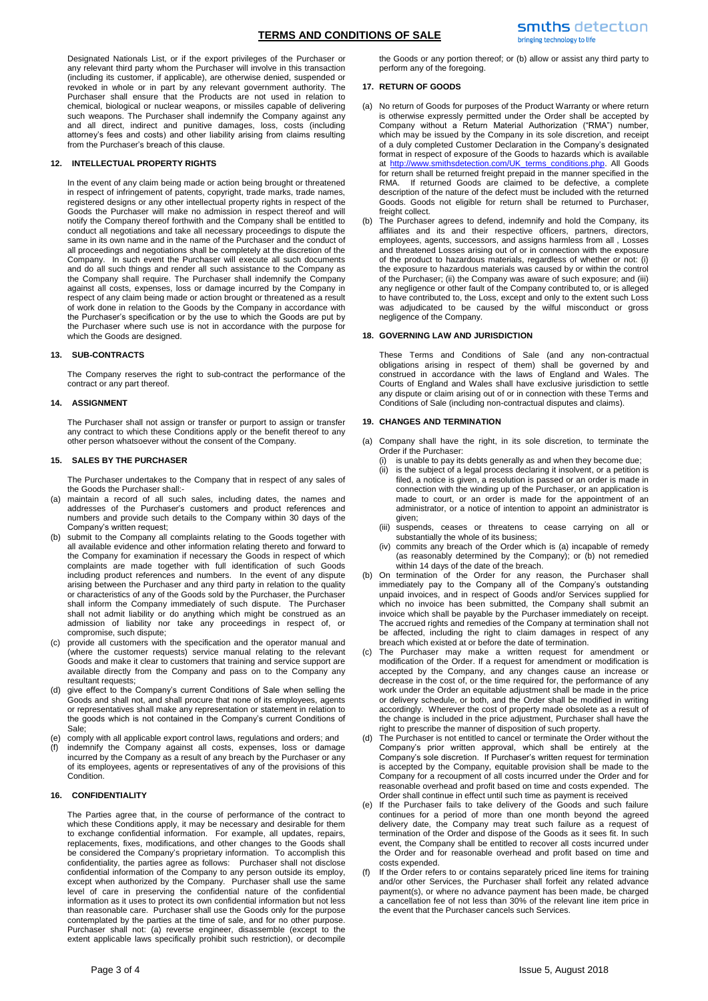# **TERMS AND CONDITIONS OF SALE**

Designated Nationals List, or if the export privileges of the Purchaser or any relevant third party whom the Purchaser will involve in this transaction (including its customer, if applicable), are otherwise denied, suspended or revoked in whole or in part by any relevant government authority. The Purchaser shall ensure that the Products are not used in relation to chemical, biological or nuclear weapons, or missiles capable of delivering such weapons. The Purchaser shall indemnify the Company against any and all direct, indirect and punitive damages, loss, costs (including attorney's fees and costs) and other liability arising from claims resulting from the Purchaser's breach of this clause.

# **12. INTELLECTUAL PROPERTY RIGHTS**

In the event of any claim being made or action being brought or threatened in respect of infringement of patents, copyright, trade marks, trade names, registered designs or any other intellectual property rights in respect of the Goods the Purchaser will make no admission in respect thereof and will notify the Company thereof forthwith and the Company shall be entitled to conduct all negotiations and take all necessary proceedings to dispute the same in its own name and in the name of the Purchaser and the conduct of all proceedings and negotiations shall be completely at the discretion of the Company. In such event the Purchaser will execute all such documents and do all such things and render all such assistance to the Company as the Company shall require. The Purchaser shall indemnify the Company against all costs, expenses, loss or damage incurred by the Company in respect of any claim being made or action brought or threatened as a result of work done in relation to the Goods by the Company in accordance with the Purchaser's specification or by the use to which the Goods are put by the Purchaser where such use is not in accordance with the purpose for which the Goods are designed.

# **13. SUB-CONTRACTS**

The Company reserves the right to sub-contract the performance of the contract or any part thereof.

## **14. ASSIGNMENT**

The Purchaser shall not assign or transfer or purport to assign or transfer any contract to which these Conditions apply or the benefit thereof to any other person whatsoever without the consent of the Company.

## **15. SALES BY THE PURCHASER**

The Purchaser undertakes to the Company that in respect of any sales of the Goods the Purchaser shall:-

- (a) maintain a record of all such sales, including dates, the names and addresses of the Purchaser's customers and product references and numbers and provide such details to the Company within 30 days of the Company's written request;
- (b) submit to the Company all complaints relating to the Goods together with all available evidence and other information relating thereto and forward to the Company for examination if necessary the Goods in respect of which complaints are made together with full identification of such Goods including product references and numbers. In the event of any dispute arising between the Purchaser and any third party in relation to the quality or characteristics of any of the Goods sold by the Purchaser, the Purchaser shall inform the Company immediately of such dispute. The Purchaser shall not admit liability or do anything which might be construed as an admission of liability nor take any proceedings in respect of, or compromise, such dispute;
- (c) provide all customers with the specification and the operator manual and (where the customer requests) service manual relating to the relevant Goods and make it clear to customers that training and service support are available directly from the Company and pass on to the Company any resultant requests;
- (d) give effect to the Company's current Conditions of Sale when selling the Goods and shall not, and shall procure that none of its employees, agents or representatives shall make any representation or statement in relation to the goods which is not contained in the Company's current Conditions of Sale;
- (e) comply with all applicable export control laws, regulations and orders; and
- indemnify the Company against all costs, expenses, loss or damage incurred by the Company as a result of any breach by the Purchaser or any of its employees, agents or representatives of any of the provisions of this Condition.

# **16. CONFIDENTIALITY**

The Parties agree that, in the course of performance of the contract to which these Conditions apply, it may be necessary and desirable for them to exchange confidential information. For example, all updates, repairs, replacements, fixes, modifications, and other changes to the Goods shall be considered the Company's proprietary information. To accomplish this confidentiality, the parties agree as follows: Purchaser shall not disclose confidential information of the Company to any person outside its employ, except when authorized by the Company. Purchaser shall use the same level of care in preserving the confidential nature of the confidential information as it uses to protect its own confidential information but not less than reasonable care. Purchaser shall use the Goods only for the purpose contemplated by the parties at the time of sale, and for no other purpose. Purchaser shall not: (a) reverse engineer, disassemble (except to the extent applicable laws specifically prohibit such restriction), or decompile

the Goods or any portion thereof; or (b) allow or assist any third party to perform any of the foregoing.

### **17. RETURN OF GOODS**

- (a) No return of Goods for purposes of the Product Warranty or where return is otherwise expressly permitted under the Order shall be accepted by Company without a Return Material Authorization ("RMA") number, which may be issued by the Company in its sole discretion, and receipt of a duly completed Customer Declaration in the Company's designated format in respect of exposure of the Goods to hazards which is available at [http://www.smithsdetection.com/UK\\_terms\\_conditions.php.](http://www.smithsdetection.com/UK_terms_conditions.php) All Goods for return shall be returned freight prepaid in the manner specified in the RMA. If returned Goods are claimed to be defective, a complete description of the nature of the defect must be included with the returned Goods. Goods not eligible for return shall be returned to Purchaser, freight collect.
- (b) The Purchaser agrees to defend, indemnify and hold the Company, its affiliates and its and their respective officers, partners, directors, employees, agents, successors, and assigns harmless from all , Losses and threatened Losses arising out of or in connection with the exposure of the product to hazardous materials, regardless of whether or not: (i) the exposure to hazardous materials was caused by or within the control of the Purchaser; (ii) the Company was aware of such exposure; and (iii) any negligence or other fault of the Company contributed to, or is alleged to have contributed to, the Loss, except and only to the extent such Loss was adjudicated to be caused by the wilful misconduct or gross negligence of the Company.

# **18. GOVERNING LAW AND JURISDICTION**

These Terms and Conditions of Sale (and any non-contractual obligations arising in respect of them) shall be governed by and construed in accordance with the laws of England and Wales. The Courts of England and Wales shall have exclusive jurisdiction to settle any dispute or claim arising out of or in connection with these Terms and Conditions of Sale (including non-contractual disputes and claims).

#### **19. CHANGES AND TERMINATION**

- (a) Company shall have the right, in its sole discretion, to terminate the Order if the Purchaser:
	- (i) is unable to pay its debts generally as and when they become due;
	- (ii) is the subject of a legal process declaring it insolvent, or a petition is filed, a notice is given, a resolution is passed or an order is made in connection with the winding up of the Purchaser, or an application is made to court, or an order is made for the appointment of an administrator, or a notice of intention to appoint an administrator is given;
	- (iii) suspends, ceases or threatens to cease carrying on all or substantially the whole of its business;
	- (iv) commits any breach of the Order which is (a) incapable of remedy (as reasonably determined by the Company); or (b) not remedied within 14 days of the date of the breach.
- (b) On termination of the Order for any reason, the Purchaser shall immediately pay to the Company all of the Company's outstanding unpaid invoices, and in respect of Goods and/or Services supplied for which no invoice has been submitted, the Company shall submit an invoice which shall be payable by the Purchaser immediately on receipt. The accrued rights and remedies of the Company at termination shall not be affected, including the right to claim damages in respect of any breach which existed at or before the date of termination.
- The Purchaser may make a written request for amendment or modification of the Order. If a request for amendment or modification is accepted by the Company, and any changes cause an increase or decrease in the cost of, or the time required for, the performance of any work under the Order an equitable adjustment shall be made in the price or delivery schedule, or both, and the Order shall be modified in writing accordingly. Wherever the cost of property made obsolete as a result of the change is included in the price adjustment, Purchaser shall have the right to prescribe the manner of disposition of such property.
- (d) The Purchaser is not entitled to cancel or terminate the Order without the Company's prior written approval, which shall be entirely at the Company's sole discretion. If Purchaser's written request for termination is accepted by the Company, equitable provision shall be made to the Company for a recoupment of all costs incurred under the Order and for reasonable overhead and profit based on time and costs expended. The Order shall continue in effect until such time as payment is received
- If the Purchaser fails to take delivery of the Goods and such failure continues for a period of more than one month beyond the agreed delivery date, the Company may treat such failure as a request of termination of the Order and dispose of the Goods as it sees fit. In such event, the Company shall be entitled to recover all costs incurred under the Order and for reasonable overhead and profit based on time and costs expended.
- If the Order refers to or contains separately priced line items for training and/or other Services, the Purchaser shall forfeit any related advance payment(s), or where no advance payment has been made, be charged a cancellation fee of not less than 30% of the relevant line item price in the event that the Purchaser cancels such Services.